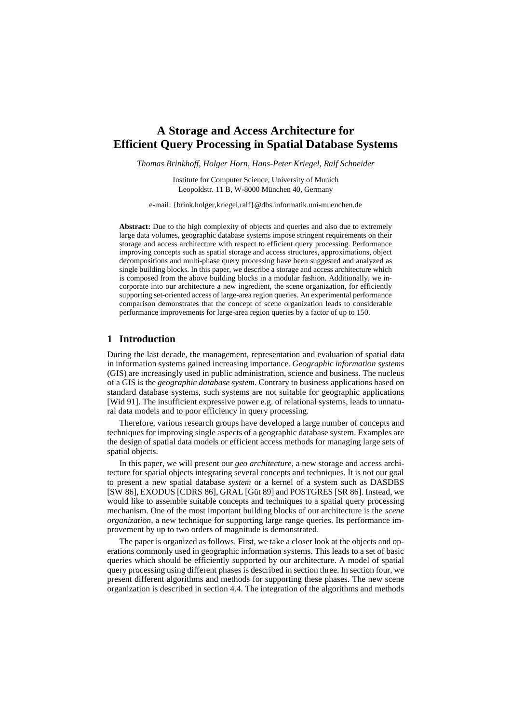# **A Storage and Access Architecture for Efficient Query Processing in Spatial Database Systems**

*Thomas Brinkhoff, Holger Horn, Hans-Peter Kriegel, Ralf Schneider*

Institute for Computer Science, University of Munich Leopoldstr. 11 B, W-8000 München 40, Germany

e-mail: {brink,holger,kriegel,ralf}@dbs.informatik.uni-muenchen.de

**Abstract:** Due to the high complexity of objects and queries and also due to extremely large data volumes, geographic database systems impose stringent requirements on their storage and access architecture with respect to efficient query processing. Performance improving concepts such as spatial storage and access structures, approximations, object decompositions and multi-phase query processing have been suggested and analyzed as single building blocks. In this paper, we describe a storage and access architecture which is composed from the above building blocks in a modular fashion. Additionally, we incorporate into our architecture a new ingredient, the scene organization, for efficiently supporting set-oriented access of large-area region queries. An experimental performance comparison demonstrates that the concept of scene organization leads to considerable performance improvements for large-area region queries by a factor of up to 150.

# **1 Introduction**

During the last decade, the management, representation and evaluation of spatial data in information systems gained increasing importance. *Geographic information systems* (GIS) are increasingly used in public administration, science and business. The nucleus of a GIS is the *geographic database system*. Contrary to business applications based on standard database systems, such systems are not suitable for geographic applications [Wid 91]. The insufficient expressive power e.g. of relational systems, leads to unnatural data models and to poor efficiency in query processing.

Therefore, various research groups have developed a large number of concepts and techniques for improving single aspects of a geographic database system. Examples are the design of spatial data models or efficient access methods for managing large sets of spatial objects.

In this paper, we will present our *geo architecture*, a new storage and access architecture for spatial objects integrating several concepts and techniques. It is not our goal to present a new spatial database *system* or a kernel of a system such as DASDBS [SW 86], EXODUS [CDRS 86], GRAL [Güt 89] and POSTGRES [SR 86]. Instead, we would like to assemble suitable concepts and techniques to a spatial query processing mechanism. One of the most important building blocks of our architecture is the *scene organization*, a new technique for supporting large range queries. Its performance improvement by up to two orders of magnitude is demonstrated.

The paper is organized as follows. First, we take a closer look at the objects and operations commonly used in geographic information systems. This leads to a set of basic queries which should be efficiently supported by our architecture. A model of spatial query processing using different phases is described in section three. In section four, we present different algorithms and methods for supporting these phases. The new scene organization is described in [section 4.4.](#page-8-0) The integration of the algorithms and methods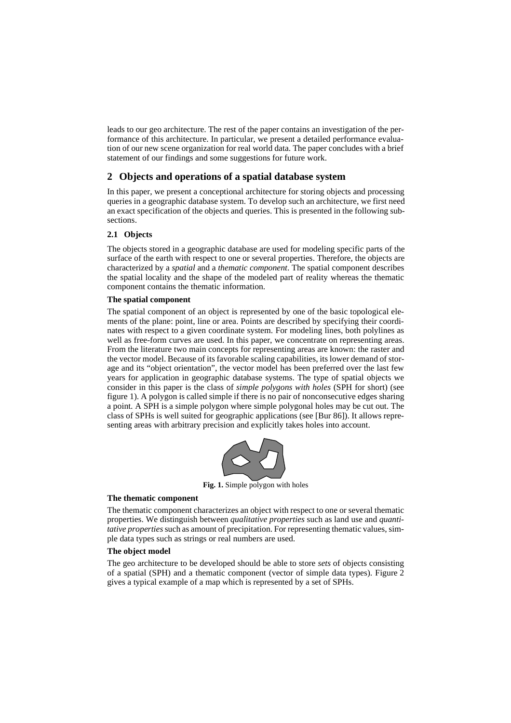<span id="page-1-0"></span>leads to our geo architecture. The rest of the paper contains an investigation of the performance of this architecture. In particular, we present a detailed performance evaluation of our new scene organization for real world data. The paper concludes with a brief statement of our findings and some suggestions for future work.

# **2 Objects and operations of a spatial database system**

In this paper, we present a conceptional architecture for storing objects and processing queries in a geographic database system. To develop such an architecture, we first need an exact specification of the objects and queries. This is presented in the following subsections.

### **2.1 Objects**

The objects stored in a geographic database are used for modeling specific parts of the surface of the earth with respect to one or several properties. Therefore, the objects are characterized by a *spatial* and a *thematic component*. The spatial component describes the spatial locality and the shape of the modeled part of reality whereas the thematic component contains the thematic information.

#### **The spatial component**

The spatial component of an object is represented by one of the basic topological elements of the plane: point, line or area. Points are described by specifying their coordinates with respect to a given coordinate system. For modeling lines, both polylines as well as free-form curves are used. In this paper, we concentrate on representing areas. From the literature two main concepts for representing areas are known: the raster and the vector model. Because of its favorable scaling capabilities, its lower demand of storage and its "object orientation", the vector model has been preferred over the last few years for application in geographic database systems. The type of spatial objects we consider in this paper is the class of *simple polygons with holes* (SPH for short) (see figure 1). A polygon is called simple if there is no pair of nonconsecutive edges sharing a point. A SPH is a simple polygon where simple polygonal holes may be cut out. The class of SPHs is well suited for geographic applications (see [Bur 86]). It allows representing areas with arbitrary precision and explicitly takes holes into account.



**Fig. 1.** Simple polygon with holes

#### **The thematic component**

The thematic component characterizes an object with respect to one or several thematic properties. We distinguish between *qualitative properties* such as land use and *quantitative properties* such as amount of precipitation. For representing thematic values, simple data types such as strings or real numbers are used.

#### **The object model**

The geo architecture to be developed should be able to store *sets* of objects consisting of a spatial (SPH) and a thematic component (vector of simple data types). [Figure 2](#page-2-0) gives a typical example of a map which is represented by a set of SPHs.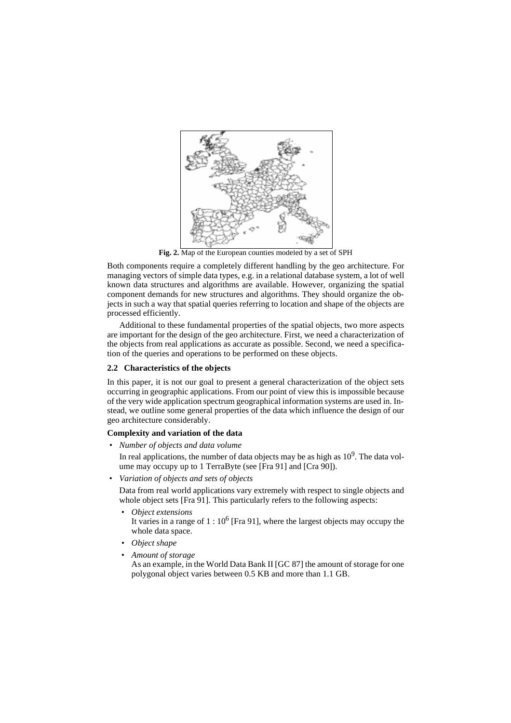<span id="page-2-0"></span>

**Fig. 2.** Map of the European counties modeled by a set of SPH

Both components require a completely different handling by the geo architecture. For managing vectors of simple data types, e.g. in a relational database system, a lot of well known data structures and algorithms are available. However, organizing the spatial component demands for new structures and algorithms. They should organize the objects in such a way that spatial queries referring to location and shape of the objects are processed efficiently.

Additional to these fundamental properties of the spatial objects, two more aspects are important for the design of the geo architecture. First, we need a characterization of the objects from real applications as accurate as possible. Second, we need a specification of the queries and operations to be performed on these objects.

#### **2.2 Characteristics of the objects**

In this paper, it is not our goal to present a general characterization of the object sets occurring in geographic applications. From our point of view this is impossible because of the very wide application spectrum geographical information systems are used in. Instead, we outline some general properties of the data which influence the design of our geo architecture considerably.

### **Complexity and variation of the data**

 *• Number of objects and data volume*

In real applications, the number of data objects may be as high as  $10<sup>9</sup>$ . The data volume may occupy up to 1 TerraByte (see [Fra 91] and [Cra 90]).

 *• Variation of objects and sets of objects*

Data from real world applications vary extremely with respect to single objects and whole object sets [Fra 91]. This particularly refers to the following aspects:

- *Object extensions* It varies in a range of  $1:10^6$  [Fra 91], where the largest objects may occupy the whole data space.
- *Object shape*
- *Amount of storage*

As an example, in the World Data Bank II [GC 87] the amount of storage for one polygonal object varies between 0.5 KB and more than 1.1 GB.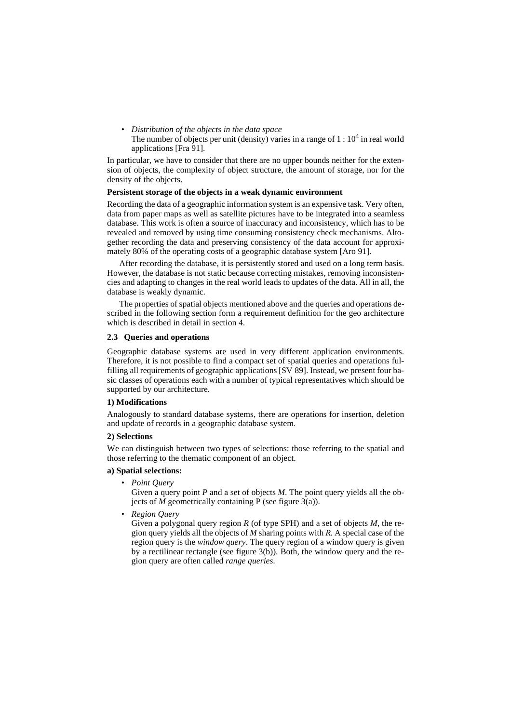• *Distribution of the objects in the data space* The number of objects per unit (density) varies in a range of  $1:10^4$  in real world applications [Fra 91].

In particular, we have to consider that there are no upper bounds neither for the extension of objects, the complexity of object structure, the amount of storage, nor for the density of the objects.

## **Persistent storage of the objects in a weak dynamic environment**

Recording the data of a geographic information system is an expensive task. Very often, data from paper maps as well as satellite pictures have to be integrated into a seamless database. This work is often a source of inaccuracy and inconsistency, which has to be revealed and removed by using time consuming consistency check mechanisms. Altogether recording the data and preserving consistency of the data account for approximately 80% of the operating costs of a geographic database system [Aro 91].

After recording the database, it is persistently stored and used on a long term basis. However, the database is not static because correcting mistakes, removing inconsistencies and adapting to changes in the real world leads to updates of the data. All in all, the database is weakly dynamic.

The properties of spatial objects mentioned above and the queries and operations described in the following section form a requirement definition for the geo architecture which is described in detail in [section 4](#page-6-0).

#### **2.3 Queries and operations**

Geographic database systems are used in very different application environments. Therefore, it is not possible to find a compact set of spatial queries and operations fulfilling all requirements of geographic applications [SV 89]. Instead, we present four basic classes of operations each with a number of typical representatives which should be supported by our architecture.

#### **1) Modifications**

Analogously to standard database systems, there are operations for insertion, deletion and update of records in a geographic database system.

### **2) Selections**

We can distinguish between two types of selections: those referring to the spatial and those referring to the thematic component of an object.

# **a) Spatial selections:**

• *Point Query*

Given a query point *P* and a set of objects *M*. The point query yields all the objects of *M* geometrically containing P (see figure 3(a)).

• *Region Query*

Given a polygonal query region *R* (of type SPH) and a set of objects *M*, the region query yields all the objects of *M* sharing points with *R*. A special case of the region query is the *window query*. The query region of a window query is given by a rectilinear rectangle (see figure 3(b)). Both, the window query and the region query are often called *range queries*.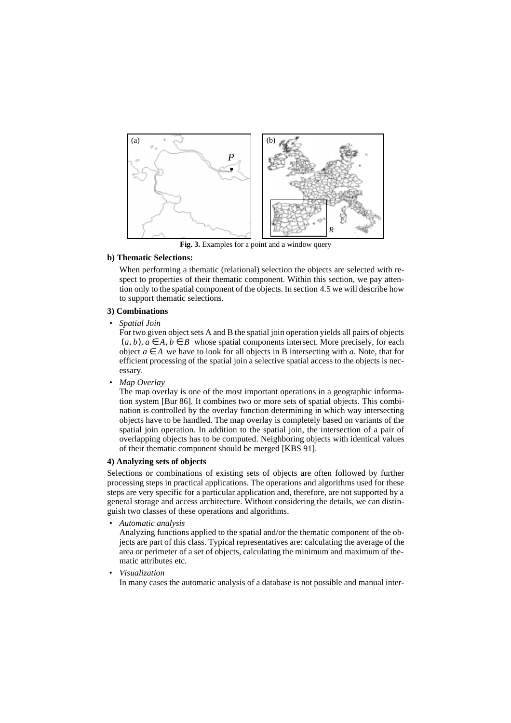

**Fig. 3.** Examples for a point and a window query

### **b) Thematic Selections:**

When performing a thematic (relational) selection the objects are selected with respect to properties of their thematic component. Within this section, we pay attention only to the spatial component of the objects. In [section 4.5](#page-10-0) we will describe how to support thematic selections.

# **3) Combinations**

 *• Spatial Join*

For two given object sets A and B the spatial join operation yields all pairs of objects  $(a, b)$ ,  $a \in A$ ,  $b \in B$  whose spatial components intersect. More precisely, for each object  $a \in A$  we have to look for all objects in B intersecting with *a*. Note, that for efficient processing of the spatial join a selective spatial access to the objects is necessary.

• *Map Overlay*

The map overlay is one of the most important operations in a geographic information system [Bur 86]. It combines two or more sets of spatial objects. This combination is controlled by the overlay function determining in which way intersecting objects have to be handled. The map overlay is completely based on variants of the spatial join operation. In addition to the spatial join, the intersection of a pair of overlapping objects has to be computed. Neighboring objects with identical values of their thematic component should be merged [KBS 91].

# **4) Analyzing sets of objects**

Selections or combinations of existing sets of objects are often followed by further processing steps in practical applications. The operations and algorithms used for these steps are very specific for a particular application and, therefore, are not supported by a general storage and access architecture. Without considering the details, we can distinguish two classes of these operations and algorithms.

• *Automatic analysis*

Analyzing functions applied to the spatial and/or the thematic component of the objects are part of this class. Typical representatives are: calculating the average of the area or perimeter of a set of objects, calculating the minimum and maximum of thematic attributes etc.

• *Visualization*

In many cases the automatic analysis of a database is not possible and manual inter-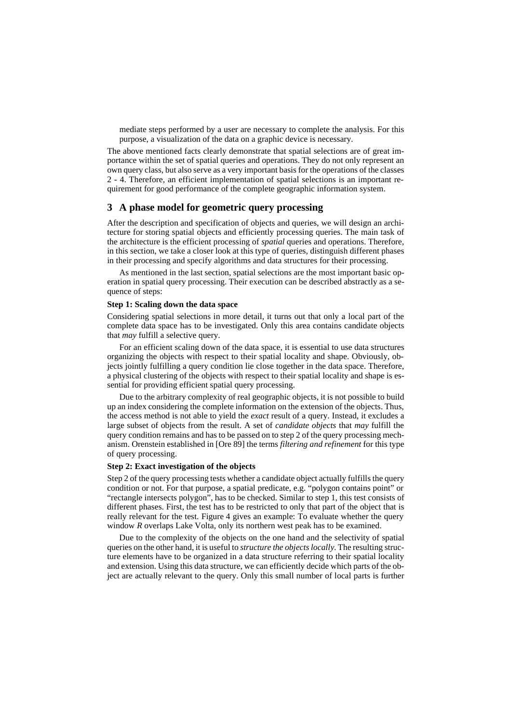mediate steps performed by a user are necessary to complete the analysis. For this purpose, a visualization of the data on a graphic device is necessary.

The above mentioned facts clearly demonstrate that spatial selections are of great importance within the set of spatial queries and operations. They do not only represent an own query class, but also serve as a very important basis for the operations of the classes 2 - 4. Therefore, an efficient implementation of spatial selections is an important requirement for good performance of the complete geographic information system.

# **3 A phase model for geometric query processing**

After the description and specification of objects and queries, we will design an architecture for storing spatial objects and efficiently processing queries. The main task of the architecture is the efficient processing of *spatial* queries and operations. Therefore, in this section, we take a closer look at this type of queries, distinguish different phases in their processing and specify algorithms and data structures for their processing.

As mentioned in the last section, spatial selections are the most important basic operation in spatial query processing. Their execution can be described abstractly as a sequence of steps:

#### **Step 1: Scaling down the data space**

Considering spatial selections in more detail, it turns out that only a local part of the complete data space has to be investigated. Only this area contains candidate objects that *may* fulfill a selective query.

For an efficient scaling down of the data space, it is essential to use data structures organizing the objects with respect to their spatial locality and shape. Obviously, objects jointly fulfilling a query condition lie close together in the data space. Therefore, a physical clustering of the objects with respect to their spatial locality and shape is essential for providing efficient spatial query processing.

Due to the arbitrary complexity of real geographic objects, it is not possible to build up an index considering the complete information on the extension of the objects. Thus, the access method is not able to yield the *exact* result of a query. Instead, it excludes a large subset of objects from the result. A set of *candidate objects* that *may* fulfill the query condition remains and has to be passed on to step 2 of the query processing mechanism. Orenstein established in [Ore 89] the terms *filtering and refinement* for this type of query processing.

#### **Step 2: Exact investigation of the objects**

Step 2 of the query processing tests whether a candidate object actually fulfills the query condition or not. For that purpose, a spatial predicate, e.g. "polygon contains point" or "rectangle intersects polygon", has to be checked. Similar to step 1, this test consists of different phases. First, the test has to be restricted to only that part of the object that is really relevant for the test. Figure 4 gives an example: To evaluate whether the query window *R* overlaps Lake Volta, only its northern west peak has to be examined.

Due to the complexity of the objects on the one hand and the selectivity of spatial queries on the other hand, it is useful to *structure the objects locally*. The resulting structure elements have to be organized in a data structure referring to their spatial locality and extension. Using this data structure, we can efficiently decide which parts of the object are actually relevant to the query. Only this small number of local parts is further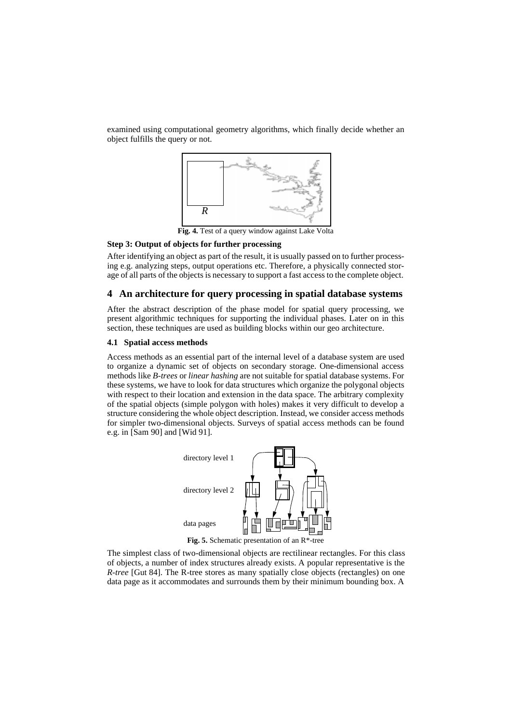<span id="page-6-0"></span>examined using computational geometry algorithms, which finally decide whether an object fulfills the query or not.



**Fig. 4.** Test of a query window against Lake Volta

### **Step 3: Output of objects for further processing**

After identifying an object as part of the result, it is usually passed on to further processing e.g. analyzing steps, output operations etc. Therefore, a physically connected storage of all parts of the objects is necessary to support a fast access to the complete object.

### **4 An architecture for query processing in spatial database systems**

After the abstract description of the phase model for spatial query processing, we present algorithmic techniques for supporting the individual phases. Later on in this section, these techniques are used as building blocks within our geo architecture.

#### **4.1 Spatial access methods**

Access methods as an essential part of the internal level of a database system are used to organize a dynamic set of objects on secondary storage. One-dimensional access methods like *B-trees* or *linear hashing* are not suitable for spatial database systems. For these systems, we have to look for data structures which organize the polygonal objects with respect to their location and extension in the data space. The arbitrary complexity of the spatial objects (simple polygon with holes) makes it very difficult to develop a structure considering the whole object description. Instead, we consider access methods for simpler two-dimensional objects. Surveys of spatial access methods can be found e.g. in [Sam 90] and [Wid 91].



**Fig. 5.** Schematic presentation of an R\*-tree

The simplest class of two-dimensional objects are rectilinear rectangles. For this class of objects, a number of index structures already exists. A popular representative is the *R-tree* [Gut 84]. The R-tree stores as many spatially close objects (rectangles) on one data page as it accommodates and surrounds them by their minimum bounding box. A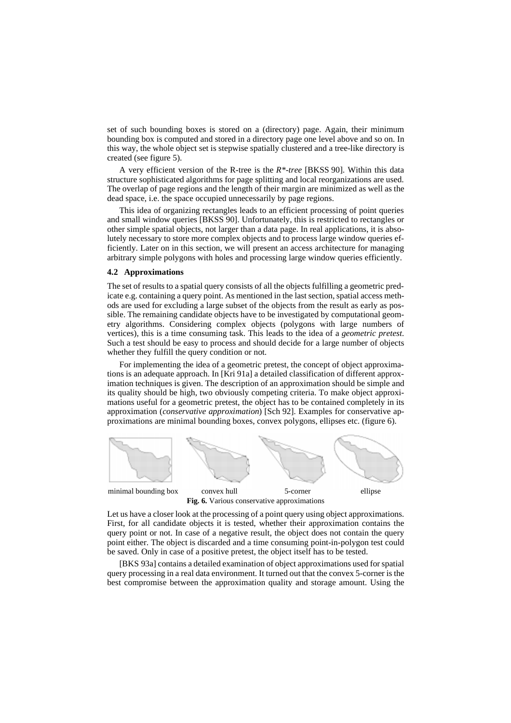<span id="page-7-0"></span>set of such bounding boxes is stored on a (directory) page. Again, their minimum bounding box is computed and stored in a directory page one level above and so on. In this way, the whole object set is stepwise spatially clustered and a tree-like directory is created (see figure 5).

A very efficient version of the R-tree is the *R\*-tree* [BKSS 90]. Within this data structure sophisticated algorithms for page splitting and local reorganizations are used. The overlap of page regions and the length of their margin are minimized as well as the dead space, i.e. the space occupied unnecessarily by page regions.

This idea of organizing rectangles leads to an efficient processing of point queries and small window queries [BKSS 90]. Unfortunately, this is restricted to rectangles or other simple spatial objects, not larger than a data page. In real applications, it is absolutely necessary to store more complex objects and to process large window queries efficiently. Later on in this section, we will present an access architecture for managing arbitrary simple polygons with holes and processing large window queries efficiently.

#### **4.2 Approximations**

The set of results to a spatial query consists of all the objects fulfilling a geometric predicate e.g. containing a query point. As mentioned in the last section, spatial access methods are used for excluding a large subset of the objects from the result as early as possible. The remaining candidate objects have to be investigated by computational geometry algorithms. Considering complex objects (polygons with large numbers of vertices), this is a time consuming task. This leads to the idea of a *geometric pretest*. Such a test should be easy to process and should decide for a large number of objects whether they fulfill the query condition or not.

For implementing the idea of a geometric pretest, the concept of object approximations is an adequate approach. In [Kri 91a] a detailed classification of different approximation techniques is given. The description of an approximation should be simple and its quality should be high, two obviously competing criteria. To make object approximations useful for a geometric pretest, the object has to be contained completely in its approximation (*conservative approximation*) [Sch 92]. Examples for conservative approximations are minimal bounding boxes, convex polygons, ellipses etc. (figure 6).



Let us have a closer look at the processing of a point query using object approximations. First, for all candidate objects it is tested, whether their approximation contains the query point or not. In case of a negative result, the object does not contain the query point either. The object is discarded and a time consuming point-in-polygon test could be saved. Only in case of a positive pretest, the object itself has to be tested.

[BKS 93a] contains a detailed examination of object approximations used for spatial query processing in a real data environment. It turned out that the convex 5-corner is the best compromise between the approximation quality and storage amount. Using the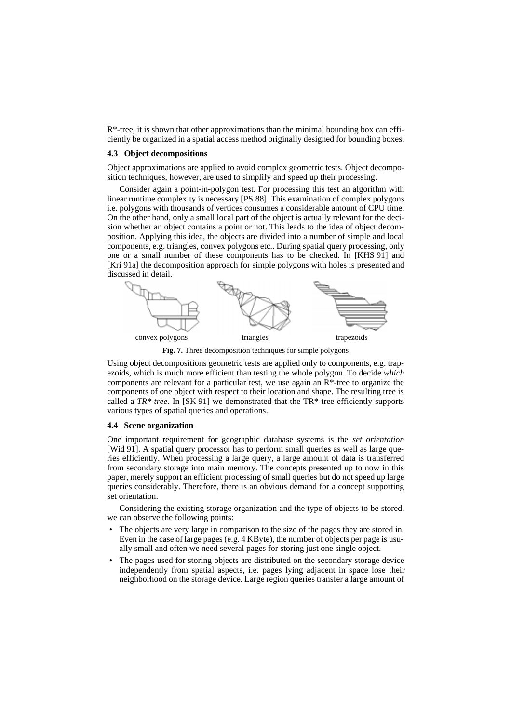<span id="page-8-0"></span>R\*-tree, it is shown that other approximations than the minimal bounding box can efficiently be organized in a spatial access method originally designed for bounding boxes.

### **4.3 Object decompositions**

Object approximations are applied to avoid complex geometric tests. Object decomposition techniques, however, are used to simplify and speed up their processing.

Consider again a point-in-polygon test. For processing this test an algorithm with linear runtime complexity is necessary [PS 88]. This examination of complex polygons i.e. polygons with thousands of vertices consumes a considerable amount of CPU time. On the other hand, only a small local part of the object is actually relevant for the decision whether an object contains a point or not. This leads to the idea of object decomposition. Applying this idea, the objects are divided into a number of simple and local components, e.g. triangles, convex polygons etc.. During spatial query processing, only one or a small number of these components has to be checked. In [KHS 91] and [Kri 91a] the decomposition approach for simple polygons with holes is presented and discussed in detail.



**Fig. 7.** Three decomposition techniques for simple polygons

Using object decompositions geometric tests are applied only to components, e.g. trapezoids, which is much more efficient than testing the whole polygon. To decide *which* components are relevant for a particular test, we use again an  $R^*$ -tree to organize the components of one object with respect to their location and shape. The resulting tree is called a *TR\*-tree.* In [SK 91] we demonstrated that the TR\*-tree efficiently supports various types of spatial queries and operations.

#### **4.4 Scene organization**

One important requirement for geographic database systems is the *set orientation* [Wid 91]. A spatial query processor has to perform small queries as well as large queries efficiently. When processing a large query, a large amount of data is transferred from secondary storage into main memory. The concepts presented up to now in this paper, merely support an efficient processing of small queries but do not speed up large queries considerably. Therefore, there is an obvious demand for a concept supporting set orientation.

Considering the existing storage organization and the type of objects to be stored, we can observe the following points:

- The objects are very large in comparison to the size of the pages they are stored in. Even in the case of large pages (e.g. 4 KByte), the number of objects per page is usually small and often we need several pages for storing just one single object.
- The pages used for storing objects are distributed on the secondary storage device independently from spatial aspects, i.e. pages lying adjacent in space lose their neighborhood on the storage device. Large region queries transfer a large amount of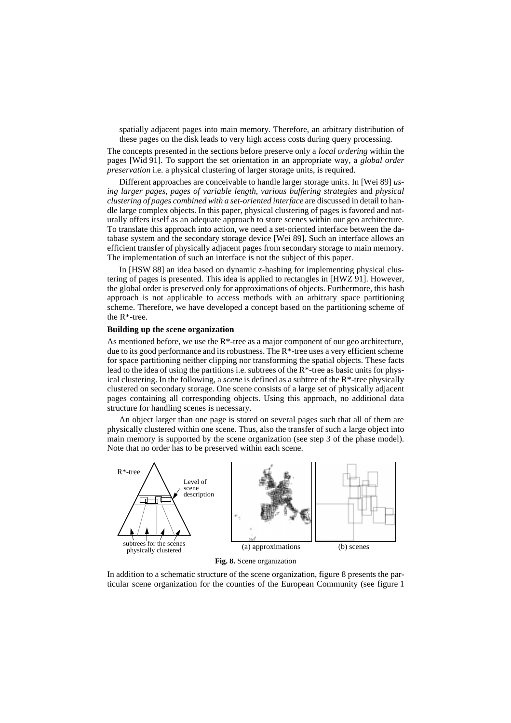spatially adjacent pages into main memory. Therefore, an arbitrary distribution of these pages on the disk leads to very high access costs during query processing.

The concepts presented in the sections before preserve only a *local ordering* within the pages [Wid 91]. To support the set orientation in an appropriate way, a *global order preservation* i.e. a physical clustering of larger storage units, is required.

Different approaches are conceivable to handle larger storage units. In [Wei 89] *using larger pages*, *pages of variable length*, *various buffering strategies* and *physical clustering of pages combined with a set-oriented interface* are discussed in detail to handle large complex objects. In this paper, physical clustering of pages is favored and naturally offers itself as an adequate approach to store scenes within our geo architecture. To translate this approach into action, we need a set-oriented interface between the database system and the secondary storage device [Wei 89]. Such an interface allows an efficient transfer of physically adjacent pages from secondary storage to main memory. The implementation of such an interface is not the subject of this paper.

In [HSW 88] an idea based on dynamic z-hashing for implementing physical clustering of pages is presented. This idea is applied to rectangles in [HWZ 91]. However, the global order is preserved only for approximations of objects. Furthermore, this hash approach is not applicable to access methods with an arbitrary space partitioning scheme. Therefore, we have developed a concept based on the partitioning scheme of the R\*-tree.

### **Building up the scene organization**

As mentioned before, we use the R\*-tree as a major component of our geo architecture, due to its good performance and its robustness. The R\*-tree uses a very efficient scheme for space partitioning neither clipping nor transforming the spatial objects. These facts lead to the idea of using the partitions i.e. subtrees of the R\*-tree as basic units for physical clustering. In the following, a *scene* is defined as a subtree of the R\*-tree physically clustered on secondary storage. One scene consists of a large set of physically adjacent pages containing all corresponding objects. Using this approach, no additional data structure for handling scenes is necessary.

An object larger than one page is stored on several pages such that all of them are physically clustered within one scene. Thus, also the transfer of such a large object into main memory is supported by the scene organization (see step 3 of the phase model). Note that no order has to be preserved within each scene.



**Fig. 8.** Scene organization

In addition to a schematic structure of the scene organization, figure 8 presents the particular scene organization for the counties of the European Community (see figure 1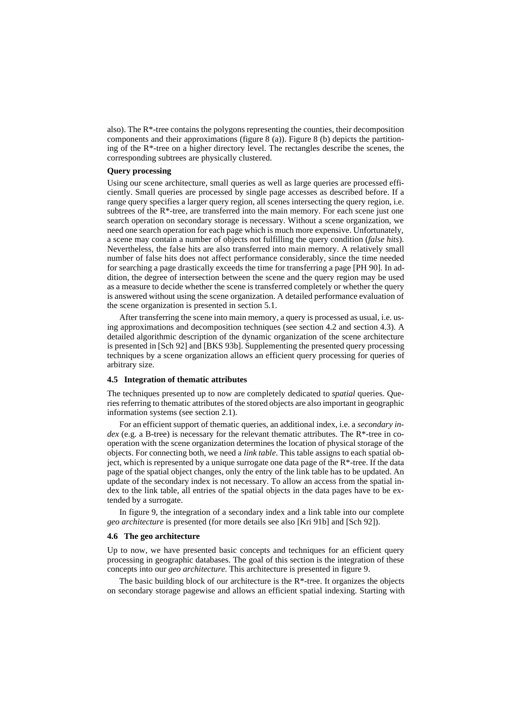<span id="page-10-0"></span>also). The R\*-tree contains the polygons representing the counties, their decomposition components and their approximations (figure 8 (a)). Figure 8 (b) depicts the partitioning of the R\*-tree on a higher directory level. The rectangles describe the scenes, the corresponding subtrees are physically clustered.

#### **Query processing**

Using our scene architecture, small queries as well as large queries are processed efficiently. Small queries are processed by single page accesses as described before. If a range query specifies a larger query region, all scenes intersecting the query region, i.e. subtrees of the R\*-tree, are transferred into the main memory. For each scene just one search operation on secondary storage is necessary. Without a scene organization, we need one search operation for each page which is much more expensive. Unfortunately, a scene may contain a number of objects not fulfilling the query condition (*false hits*). Nevertheless, the false hits are also transferred into main memory. A relatively small number of false hits does not affect performance considerably, since the time needed for searching a page drastically exceeds the time for transferring a page [PH 90]. In addition, the degree of intersection between the scene and the query region may be used as a measure to decide whether the scene is transferred completely or whether the query is answered without using the scene organization. A detailed performance evaluation of the scene organization is presented in [section 5.1](#page-12-0).

After transferring the scene into main memory, a query is processed as usual, i.e. using approximations and decomposition techniques (see [section 4.2](#page-7-0) and [section 4.3](#page-8-0)). A detailed algorithmic description of the dynamic organization of the scene architecture is presented in [Sch 92] and [BKS 93b]. Supplementing the presented query processing techniques by a scene organization allows an efficient query processing for queries of arbitrary size.

#### **4.5 Integration of thematic attributes**

The techniques presented up to now are completely dedicated to *spatial* queries. Queries referring to thematic attributes of the stored objects are also important in geographic information systems (see [section 2.1](#page-1-0)).

For an efficient support of thematic queries, an additional index, i.e. a *secondary index* (e.g. a B-tree) is necessary for the relevant thematic attributes. The  $\mathbb{R}^*$ -tree in cooperation with the scene organization determines the location of physical storage of the objects. For connecting both, we need a *link table*. This table assigns to each spatial object, which is represented by a unique surrogate one data page of the  $R^*$ -tree. If the data page of the spatial object changes, only the entry of the link table has to be updated. An update of the secondary index is not necessary. To allow an access from the spatial index to the link table, all entries of the spatial objects in the data pages have to be extended by a surrogate.

In figure 9, the integration of a secondary index and a link table into our complete *geo architecture* is presented (for more details see also [Kri 91b] and [Sch 92]).

#### **4.6 The geo architecture**

Up to now, we have presented basic concepts and techniques for an efficient query processing in geographic databases. The goal of this section is the integration of these concepts into our *geo architecture*. This architecture is presented in figure 9.

The basic building block of our architecture is the  $R^*$ -tree. It organizes the objects on secondary storage pagewise and allows an efficient spatial indexing. Starting with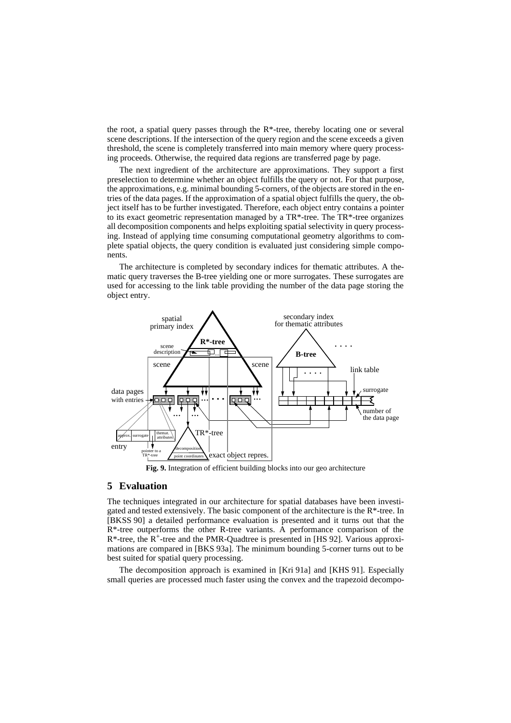the root, a spatial query passes through the  $R^*$ -tree, thereby locating one or several scene descriptions. If the intersection of the query region and the scene exceeds a given threshold, the scene is completely transferred into main memory where query processing proceeds. Otherwise, the required data regions are transferred page by page.

The next ingredient of the architecture are approximations. They support a first preselection to determine whether an object fulfills the query or not. For that purpose, the approximations, e.g. minimal bounding 5-corners, of the objects are stored in the entries of the data pages. If the approximation of a spatial object fulfills the query, the object itself has to be further investigated. Therefore, each object entry contains a pointer to its exact geometric representation managed by a TR\*-tree. The TR\*-tree organizes all decomposition components and helps exploiting spatial selectivity in query processing. Instead of applying time consuming computational geometry algorithms to complete spatial objects, the query condition is evaluated just considering simple components.

The architecture is completed by secondary indices for thematic attributes. A thematic query traverses the B-tree yielding one or more surrogates. These surrogates are used for accessing to the link table providing the number of the data page storing the object entry.



**Fig. 9.** Integration of efficient building blocks into our geo architecture

## **5 Evaluation**

The techniques integrated in our architecture for spatial databases have been investigated and tested extensively. The basic component of the architecture is the  $R^*$ -tree. In [BKSS 90] a detailed performance evaluation is presented and it turns out that the R\*-tree outperforms the other R-tree variants. A performance comparison of the  $R^*$ -tree, the  $R^*$ -tree and the PMR-Quadtree is presented in [HS 92]. Various approximations are compared in [BKS 93a]. The minimum bounding 5-corner turns out to be best suited for spatial query processing.

The decomposition approach is examined in [Kri 91a] and [KHS 91]. Especially small queries are processed much faster using the convex and the trapezoid decompo-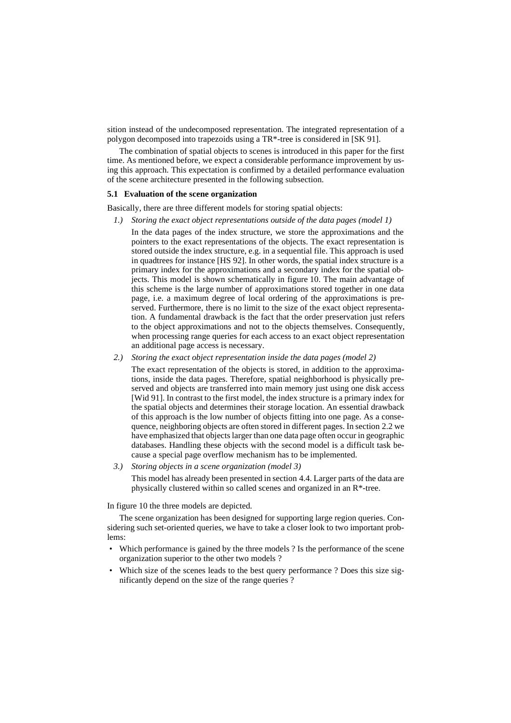<span id="page-12-0"></span>sition instead of the undecomposed representation. The integrated representation of a polygon decomposed into trapezoids using a TR\*-tree is considered in [SK 91].

The combination of spatial objects to scenes is introduced in this paper for the first time. As mentioned before, we expect a considerable performance improvement by using this approach. This expectation is confirmed by a detailed performance evaluation of the scene architecture presented in the following subsection.

#### **5.1 Evaluation of the scene organization**

Basically, there are three different models for storing spatial objects:

 *1.) Storing the exact object representations outside of the data pages (model 1)*

In the data pages of the index structure, we store the approximations and the pointers to the exact representations of the objects. The exact representation is stored outside the index structure, e.g. in a sequential file. This approach is used in quadtrees for instance [HS 92]. In other words, the spatial index structure is a primary index for the approximations and a secondary index for the spatial objects. This model is shown schematically in figure 10. The main advantage of this scheme is the large number of approximations stored together in one data page, i.e. a maximum degree of local ordering of the approximations is preserved. Furthermore, there is no limit to the size of the exact object representation. A fundamental drawback is the fact that the order preservation just refers to the object approximations and not to the objects themselves. Consequently, when processing range queries for each access to an exact object representation an additional page access is necessary.

 *2.) Storing the exact object representation inside the data pages (model 2)*

The exact representation of the objects is stored, in addition to the approximations, inside the data pages. Therefore, spatial neighborhood is physically preserved and objects are transferred into main memory just using one disk access [Wid 91]. In contrast to the first model, the index structure is a primary index for the spatial objects and determines their storage location. An essential drawback of this approach is the low number of objects fitting into one page. As a consequence, neighboring objects are often stored in different pages. In section 2.2 we have emphasized that objects larger than one data page often occur in geographic databases. Handling these objects with the second model is a difficult task because a special page overflow mechanism has to be implemented.

 *3.) Storing objects in a scene organization (model 3)*

This model has already been presented in section 4.4. Larger parts of the data are physically clustered within so called scenes and organized in an R\*-tree.

In figure 10 the three models are depicted.

The scene organization has been designed for supporting large region queries. Considering such set-oriented queries, we have to take a closer look to two important problems:

- Which performance is gained by the three models ? Is the performance of the scene organization superior to the other two models ?
- Which size of the scenes leads to the best query performance ? Does this size significantly depend on the size of the range queries ?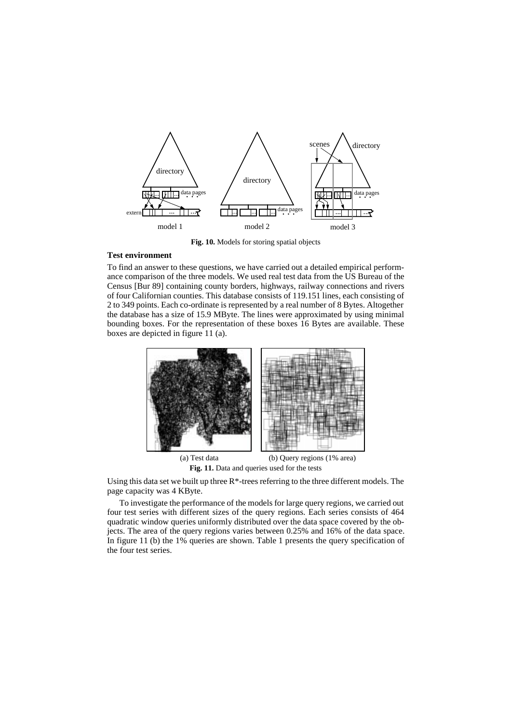

**Fig. 10.** Models for storing spatial objects

### **Test environment**

To find an answer to these questions, we have carried out a detailed empirical performance comparison of the three models. We used real test data from the US Bureau of the Census [Bur 89] containing county borders, highways, railway connections and rivers of four Californian counties. This database consists of 119.151 lines, each consisting of 2 to 349 points. Each co-ordinate is represented by a real number of 8 Bytes. Altogether the database has a size of 15.9 MByte. The lines were approximated by using minimal bounding boxes. For the representation of these boxes 16 Bytes are available. These boxes are depicted in figure 11 (a).



Using this data set we built up three  $R^*$ -trees referring to the three different models. The page capacity was 4 KByte.

To investigate the performance of the models for large query regions, we carried out four test series with different sizes of the query regions. Each series consists of 464 quadratic window queries uniformly distributed over the data space covered by the objects. The area of the query regions varies between 0.25% and 16% of the data space. In figure 11 (b) the 1% queries are shown. [Table 1](#page-14-0) presents the query specification of the four test series.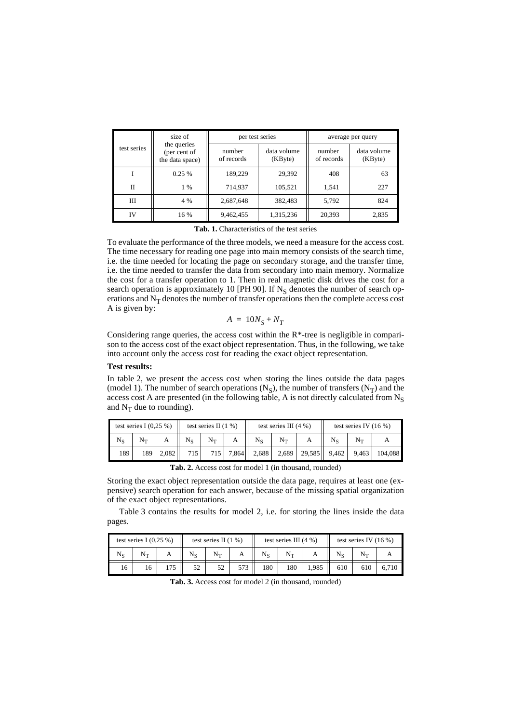<span id="page-14-0"></span>

| test series | size of                                               | per test series             |                        | average per query         |                        |  |  |
|-------------|-------------------------------------------------------|-----------------------------|------------------------|---------------------------|------------------------|--|--|
|             | the queries<br>(per cent of<br>the data space)<br>. . | number<br>of records<br>. . | data volume<br>(KByte) | number<br>of records<br>œ | data volume<br>(KByte) |  |  |
|             | 0.25%                                                 | 189,229                     | 29,392                 | 408                       | 63                     |  |  |
| П           | $1\%$                                                 | 714,937                     | 105,521                | 1,541                     | 227                    |  |  |
| Ш           | 4 %                                                   | 2,687,648                   | 382,483                | 5,792                     | 824                    |  |  |
| IV          | 16 %                                                  | 9,462,455                   | 1,315,236              | 20,393                    | 2,835                  |  |  |

**Tab. 1.** Characteristics of the test series

To evaluate the performance of the three models, we need a measure for the access cost. The time necessary for reading one page into main memory consists of the search time, i.e. the time needed for locating the page on secondary storage, and the transfer time, i.e. the time needed to transfer the data from secondary into main memory. Normalize the cost for a transfer operation to 1. Then in real magnetic disk drives the cost for a search operation is approximately 10 [PH 90]. If  $N<sub>S</sub>$  denotes the number of search operations and  $N_T$  denotes the number of transfer operations then the complete access cost A is given by:

$$
A = 10N_S + N_T
$$

Considering range queries, the access cost within the R\*-tree is negligible in comparison to the access cost of the exact object representation. Thus, in the following, we take into account only the access cost for reading the exact object representation.

#### **Test results:**

In table 2, we present the access cost when storing the lines outside the data pages (model 1). The number of search operations  $(N_S)$ , the number of transfers  $(N_T)$  and the access cost A are presented (in the following table, A is not directly calculated from  $N_S$ and  $N_T$  due to rounding).

| test series I $(0,25\%)$ |     |       | test series II $(1\%)$ |  | test series III $(4\%)$ |       |       | test series IV $(16\%)$ |       |       |         |
|--------------------------|-----|-------|------------------------|--|-------------------------|-------|-------|-------------------------|-------|-------|---------|
|                          |     |       |                        |  | $\mathbf{L}$            |       |       |                         |       |       |         |
| 189                      | 189 | 2.082 | 715                    |  | $.864$                  | 2,688 | 2,689 | 29,585                  | 9,462 | 9.463 | 104,088 |

**Tab. 2.** Access cost for model 1 (in thousand, rounded)

Storing the exact object representation outside the data page, requires at least one (expensive) search operation for each answer, because of the missing spatial organization of the exact object representations.

Table 3 contains the results for model 2, i.e. for storing the lines inside the data pages.

| test series I $(0,25\%)$ |     |  |    | test series II $(1\%)$ |     | test series III $(4\%)$ |       |     | test series IV $(16\%)$ |       |  |
|--------------------------|-----|--|----|------------------------|-----|-------------------------|-------|-----|-------------------------|-------|--|
|                          |     |  |    | $N_{\rm T}$            |     |                         |       |     |                         |       |  |
| 16                       | 10. |  | 52 | 52                     | 180 | 180                     | 1,985 | 610 | 610                     | 6.710 |  |

**Tab. 3.** Access cost for model 2 (in thousand, rounded)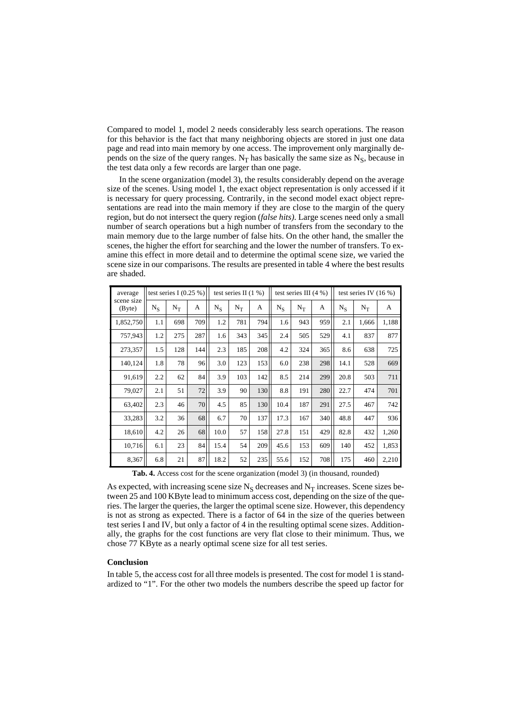Compared to model 1, model 2 needs considerably less search operations. The reason for this behavior is the fact that many neighboring objects are stored in just one data page and read into main memory by one access. The improvement only marginally depends on the size of the query ranges.  $N_T$  has basically the same size as  $N_S$ , because in the test data only a few records are larger than one page.

In the scene organization (model 3), the results considerably depend on the average size of the scenes. Using model 1, the exact object representation is only accessed if it is necessary for query processing. Contrarily, in the second model exact object representations are read into the main memory if they are close to the margin of the query region, but do not intersect the query region (*false hits)*. Large scenes need only a small number of search operations but a high number of transfers from the secondary to the main memory due to the large number of false hits. On the other hand, the smaller the scenes, the higher the effort for searching and the lower the number of transfers. To examine this effect in more detail and to determine the optimal scene size, we varied the scene size in our comparisons. The results are presented in table 4 where the best results are shaded.

| average<br>scene size<br>(Byte) | test series I $(0.25\%)$ |       |     | test series II $(1%)$ |       |     | test series III $(4\%)$ |       |     | test series IV $(16\%)$ |       |       |
|---------------------------------|--------------------------|-------|-----|-----------------------|-------|-----|-------------------------|-------|-----|-------------------------|-------|-------|
|                                 | $N_S$                    | $N_T$ | A   | $N_S$                 | $N_T$ | A   | $N_S$                   | $N_T$ | A   | $N_S$                   | $N_T$ | A     |
| 1,852,750                       | 1.1                      | 698   | 709 | 1.2                   | 781   | 794 | 1.6                     | 943   | 959 | 2.1                     | 1,666 | 1,188 |
| 757,943                         | 1.2                      | 275   | 287 | 1.6                   | 343   | 345 | 2.4                     | 505   | 529 | 4.1                     | 837   | 877   |
| 273,357                         | 1.5                      | 128   | 144 | 2.3                   | 185   | 208 | 4.2                     | 324   | 365 | 8.6                     | 638   | 725   |
| 140,124                         | 1.8                      | 78    | 96  | 3.0                   | 123   | 153 | 6.0                     | 238   | 298 | 14.1                    | 528   | 669   |
| 91,619                          | 2.2                      | 62    | 84  | 3.9                   | 103   | 142 | 8.5                     | 214   | 299 | 20.8                    | 503   | 711   |
| 79,027                          | 2.1                      | 51    | 72  | 3.9                   | 90    | 130 | 8.8                     | 191   | 280 | 22.7                    | 474   | 701   |
| 63,402                          | 2.3                      | 46    | 70  | 4.5                   | 85    | 130 | 10.4                    | 187   | 291 | 27.5                    | 467   | 742   |
| 33,283                          | 3.2                      | 36    | 68  | 6.7                   | 70    | 137 | 17.3                    | 167   | 340 | 48.8                    | 447   | 936   |
| 18,610                          | 4.2                      | 26    | 68  | 10.0                  | 57    | 158 | 27.8                    | 151   | 429 | 82.8                    | 432   | 1,260 |
| 10,716                          | 6.1                      | 23    | 84  | 15.4                  | 54    | 209 | 45.6                    | 153   | 609 | 140                     | 452   | 1,853 |
| 8,367                           | 6.8                      | 21    | 87  | 18.2                  | 52    | 235 | 55.6                    | 152   | 708 | 175                     | 460   | 2,210 |

**Tab. 4.** Access cost for the scene organization (model 3) (in thousand, rounded)

As expected, with increasing scene size  $N_S$  decreases and  $N_T$  increases. Scene sizes between 25 and 100 KByte lead to minimum access cost, depending on the size of the queries. The larger the queries, the larger the optimal scene size. However, this dependency is not as strong as expected. There is a factor of 64 in the size of the queries between test series I and IV, but only a factor of 4 in the resulting optimal scene sizes. Additionally, the graphs for the cost functions are very flat close to their minimum. Thus, we chose 77 KByte as a nearly optimal scene size for all test series.

#### **Conclusion**

In [table 5,](#page-16-0) the access cost for all three models is presented. The cost for model 1 is standardized to "1". For the other two models the numbers describe the speed up factor for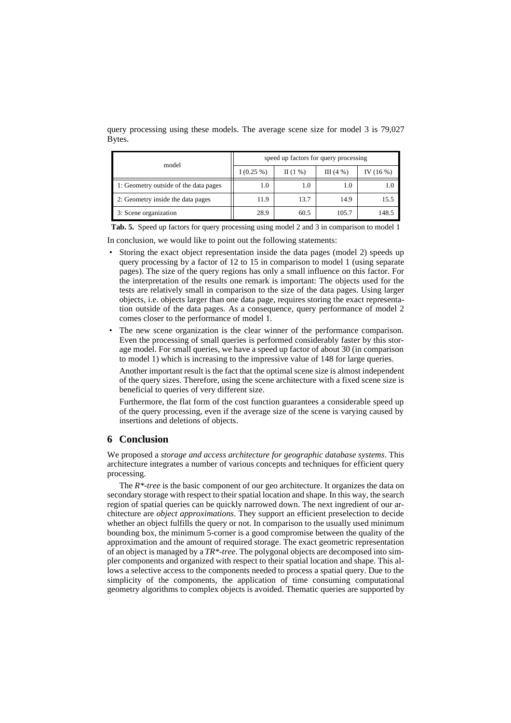<span id="page-16-0"></span>query processing using these models. The average scene size for model 3 is 79,027 Bytes.

| model                                 | speed up factors for query processing |            |             |             |  |  |  |
|---------------------------------------|---------------------------------------|------------|-------------|-------------|--|--|--|
|                                       | $I(0.25\%)$                           | II $(1\%)$ | III $(4\%)$ | IV $(16\%)$ |  |  |  |
| 1: Geometry outside of the data pages | 1.0                                   | 1.0        | 1.0         | 1.0         |  |  |  |
| 2: Geometry inside the data pages     | 11.9                                  | 13.7       | 14.9        | 15.5        |  |  |  |
| 3: Scene organization                 | 28.9                                  | 60.5       | 105.7       | 148.5       |  |  |  |

Tab. 5. Speed up factors for query processing using model 2 and 3 in comparison to model 1

In conclusion, we would like to point out the following statements:

- Storing the exact object representation inside the data pages (model 2) speeds up query processing by a factor of 12 to 15 in comparison to model 1 (using separate pages). The size of the query regions has only a small influence on this factor. For the interpretation of the results one remark is important: The objects used for the tests are relatively small in comparison to the size of the data pages. Using larger objects, i.e. objects larger than one data page, requires storing the exact representation outside of the data pages. As a consequence, query performance of model 2 comes closer to the performance of model 1.
- The new scene organization is the clear winner of the performance comparison. Even the processing of small queries is performed considerably faster by this storage model. For small queries, we have a speed up factor of about 30 (in comparison to model 1) which is increasing to the impressive value of 148 for large queries.

Another important result is the fact that the optimal scene size is almost independent of the query sizes. Therefore, using the scene architecture with a fixed scene size is beneficial to queries of very different size.

Furthermore, the flat form of the cost function guarantees a considerable speed up of the query processing, even if the average size of the scene is varying caused by insertions and deletions of objects.

# **6 Conclusion**

We proposed a *storage and access architecture for geographic database systems*. This architecture integrates a number of various concepts and techniques for efficient query processing.

The  $R^*$ -tree is the basic component of our geo architecture. It organizes the data on secondary storage with respect to their spatial location and shape. In this way, the search region of spatial queries can be quickly narrowed down. The next ingredient of our architecture are *object approximations*. They support an efficient preselection to decide whether an object fulfills the query or not. In comparison to the usually used minimum bounding box, the minimum 5-corner is a good compromise between the quality of the approximation and the amount of required storage. The exact geometric representation of an object is managed by a *TR\*-tree*. The polygonal objects are decomposed into simpler components and organized with respect to their spatial location and shape. This allows a selective access to the components needed to process a spatial query. Due to the simplicity of the components, the application of time consuming computational geometry algorithms to complex objects is avoided. Thematic queries are supported by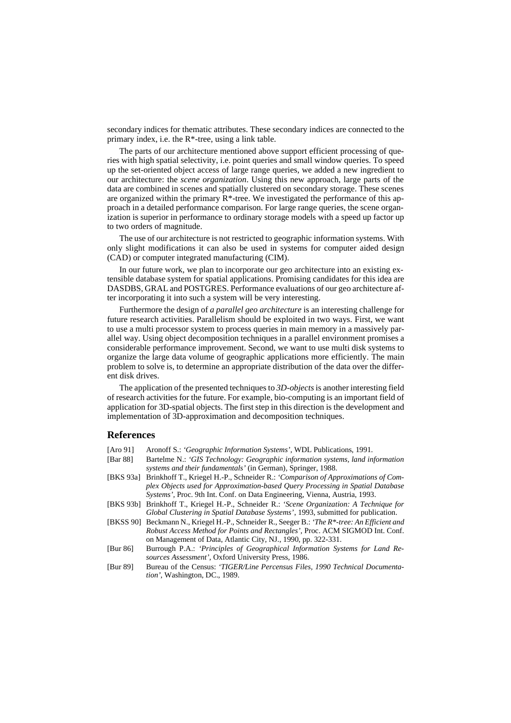secondary indices for thematic attributes. These secondary indices are connected to the primary index, i.e. the R\*-tree, using a link table.

The parts of our architecture mentioned above support efficient processing of queries with high spatial selectivity, i.e. point queries and small window queries. To speed up the set-oriented object access of large range queries, we added a new ingredient to our architecture: the *scene organization*. Using this new approach, large parts of the data are combined in scenes and spatially clustered on secondary storage. These scenes are organized within the primary  $R^*$ -tree. We investigated the performance of this approach in a detailed performance comparison. For large range queries, the scene organization is superior in performance to ordinary storage models with a speed up factor up to two orders of magnitude.

The use of our architecture is not restricted to geographic information systems. With only slight modifications it can also be used in systems for computer aided design (CAD) or computer integrated manufacturing (CIM).

In our future work, we plan to incorporate our geo architecture into an existing extensible database system for spatial applications. Promising candidates for this idea are DASDBS, GRAL and POSTGRES. Performance evaluations of our geo architecture after incorporating it into such a system will be very interesting.

Furthermore the design of *a parallel geo architecture* is an interesting challenge for future research activities. Parallelism should be exploited in two ways. First, we want to use a multi processor system to process queries in main memory in a massively parallel way. Using object decomposition techniques in a parallel environment promises a considerable performance improvement. Second, we want to use multi disk systems to organize the large data volume of geographic applications more efficiently. The main problem to solve is, to determine an appropriate distribution of the data over the different disk drives.

The application of the presented techniques to *3D-objects* is another interesting field of research activities for the future. For example, bio-computing is an important field of application for 3D-spatial objects. The first step in this direction is the development and implementation of 3D-approximation and decomposition techniques.

### **References**

- [Aro 91] Aronoff S.: *'Geographic Information Systems',* WDL Publications, 1991.
- [Bar 88] Bartelme N.: *'GIS Technology: Geographic information systems, land information systems and their fundamentals'* (in German)*,* Springer, 1988.
- [BKS 93a] Brinkhoff T., Kriegel H.-P., Schneider R.: *'Comparison of Approximations of Complex Objects used for Approximation-based Query Processing in Spatial Database Systems',* Proc. 9th Int. Conf. on Data Engineering, Vienna, Austria, 1993.
- [BKS 93b] Brinkhoff T., Kriegel H.-P., Schneider R.: *'Scene Organization: A Technique for Global Clustering in Spatial Database Systems'*, 1993, submitted for publication.
- [BKSS 90] Beckmann N., Kriegel H.-P., Schneider R., Seeger B.: *'The R\*-tree: An Efficient and Robust Access Method for Points and Rectangles',* Proc. ACM SIGMOD Int. Conf. on Management of Data, Atlantic City, NJ., 1990, pp. 322-331.
- [Bur 86] Burrough P.A.: *'Principles of Geographical Information Systems for Land Resources Assessment',* Oxford University Press, 1986.
- [Bur 89] Bureau of the Census: *'TIGER/Line Percensus Files, 1990 Technical Documentation'*, Washington, DC., 1989.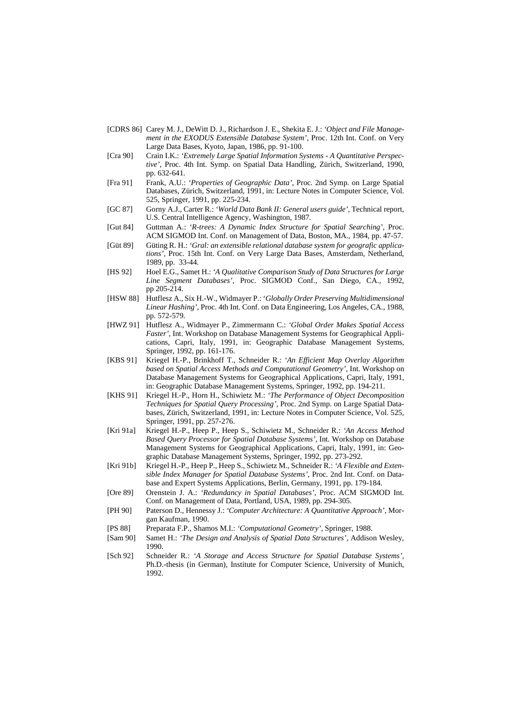- [CDRS 86] Carey M. J., DeWitt D. J., Richardson J. E., Shekita E. J.: *'Object and File Management in the EXODUS Extensible Database System',* Proc. 12th Int. Conf. on Very Large Data Bases, Kyoto, Japan, 1986, pp. 91-100.
- [Cra 90] Crain I.K.: *'Extremely Large Spatial Information Systems A Quantitative Perspective',* Proc. 4th Int. Symp. on Spatial Data Handling, Zürich, Switzerland, 1990, pp. 632-641.
- [Fra 91] Frank, A.U.: *'Properties of Geographic Data'*, Proc. 2nd Symp. on Large Spatial Databases, Zürich, Switzerland, 1991, in: Lecture Notes in Computer Science, Vol. 525, Springer, 1991, pp. 225-234.
- [GC 87] Gorny A.J., Carter R.: 'World Data Bank II: General users guide', Technical report, U.S. Central Intelligence Agency, Washington, 1987.
- [Gut 84] Guttman A.: *'R-trees: A Dynamic Index Structure for Spatial Searching',* Proc. ACM SIGMOD Int. Conf. on Management of Data, Boston, MA., 1984, pp. 47-57.
- [Güt 89] Güting R. H.: *'Gral: an extensible relational database system for geografic applications',* Proc. 15th Int. Conf. on Very Large Data Bases, Amsterdam, Netherland, 1989, pp. 33-44.
- [HS 92] Hoel E.G., Samet H.: *'A Qualitative Comparison Study of Data Structures for Large Line Segment Databases',* Proc. SIGMOD Conf., San Diego, CA., 1992, pp 205-214.
- [HSW 88] Hutflesz A., Six H.-W., Widmayer P.: '*Globally Order Preserving Multidimensional Linear Hashing'*, Proc. 4th Int. Conf. on Data Engineering, Los Angeles, CA., 1988, pp. 572-579.
- [HWZ 91] Hutflesz A., Widmayer P., Zimmermann C.: *'Global Order Makes Spatial Access Faster'*, Int. Workshop on Database Management Systems for Geographical Applications, Capri, Italy, 1991, in: Geographic Database Management Systems, Springer, 1992, pp. 161-176.
- [KBS 91] Kriegel H.-P., Brinkhoff T., Schneider R.: *'An Efficient Map Overlay Algorithm based on Spatial Access Methods and Computational Geometry',* Int. Workshop on Database Management Systems for Geographical Applications, Capri, Italy, 1991, in: Geographic Database Management Systems, Springer, 1992, pp. 194-211.
- [KHS 91] Kriegel H.-P., Horn H., Schiwietz M.: *'The Performance of Object Decomposition Techniques for Spatial Query Processing',* Proc. 2nd Symp. on Large Spatial Databases, Zürich, Switzerland, 1991, in: Lecture Notes in Computer Science, Vol. 525, Springer, 1991, pp. 257-276.
- [Kri 91a] Kriegel H.-P., Heep P., Heep S., Schiwietz M., Schneider R.: *'An Access Method Based Query Processor for Spatial Database Systems',* Int. Workshop on Database Management Systems for Geographical Applications, Capri, Italy, 1991, in: Geographic Database Management Systems, Springer, 1992, pp. 273-292.
- [Kri 91b] Kriegel H.-P., Heep P., Heep S., Schiwietz M., Schneider R.: *'A Flexible and Extensible Index Manager for Spatial Database Systems',* Proc. 2nd Int. Conf. on Database and Expert Systems Applications, Berlin, Germany, 1991, pp. 179-184.
- [Ore 89] Orenstein J. A.: *'Redundancy in Spatial Databases',* Proc. ACM SIGMOD Int. Conf. on Management of Data, Portland, USA, 1989, pp. 294-305.
- [PH 90] Paterson D., Hennessy J.: *'Computer Architecture: A Quantitative Approach'*, Morgan Kaufman, 1990.
- [PS 88] Preparata F.P., Shamos M.I.: *'Computational Geometry',* Springer, 1988.
- [Sam 90] Samet H.: *'The Design and Analysis of Spatial Data Structures',* Addison Wesley, 1990.
- [Sch 92] Schneider R.: *'A Storage and Access Structure for Spatial Database Systems',* Ph.D.-thesis (in German), Institute for Computer Science, University of Munich, 1992.